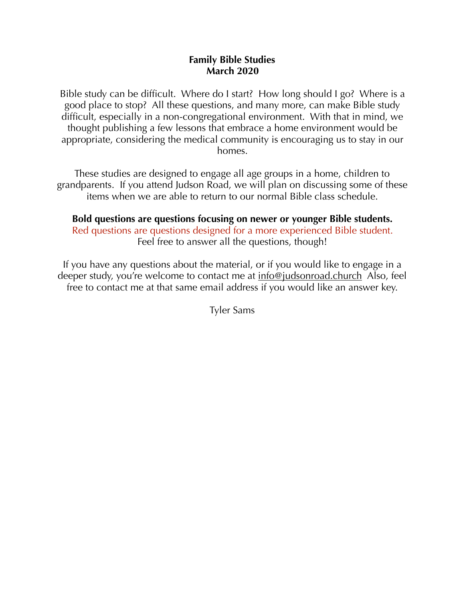#### **Family Bible Studies March 2020**

Bible study can be difficult. Where do I start? How long should I go? Where is a good place to stop? All these questions, and many more, can make Bible study difficult, especially in a non-congregational environment. With that in mind, we thought publishing a few lessons that embrace a home environment would be appropriate, considering the medical community is encouraging us to stay in our homes.

These studies are designed to engage all age groups in a home, children to grandparents. If you attend Judson Road, we will plan on discussing some of these items when we are able to return to our normal Bible class schedule.

#### **Bold questions are questions focusing on newer or younger Bible students.** Red questions are questions designed for a more experienced Bible student. Feel free to answer all the questions, though!

If you have any questions about the material, or if you would like to engage in a deeper study, you're welcome to contact me at <u>info@judsonroad.church</u> Also, feel free to contact me at that same email address if you would like an answer key.

Tyler Sams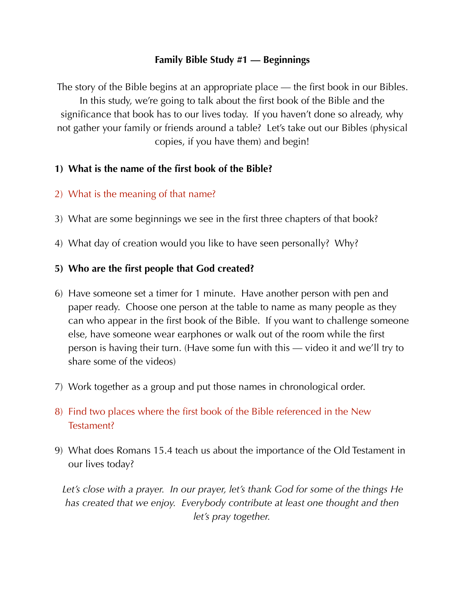## **Family Bible Study #1 — Beginnings**

The story of the Bible begins at an appropriate place — the first book in our Bibles. In this study, we're going to talk about the first book of the Bible and the significance that book has to our lives today. If you haven't done so already, why not gather your family or friends around a table? Let's take out our Bibles (physical copies, if you have them) and begin!

# **1) What is the name of the first book of the Bible?**

# 2) What is the meaning of that name?

- 3) What are some beginnings we see in the first three chapters of that book?
- 4) What day of creation would you like to have seen personally? Why?

# **5) Who are the first people that God created?**

- 6) Have someone set a timer for 1 minute. Have another person with pen and paper ready. Choose one person at the table to name as many people as they can who appear in the first book of the Bible. If you want to challenge someone else, have someone wear earphones or walk out of the room while the first person is having their turn. (Have some fun with this — video it and we'll try to share some of the videos)
- 7) Work together as a group and put those names in chronological order.
- 8) Find two places where the first book of the Bible referenced in the New Testament?
- 9) What does Romans 15.4 teach us about the importance of the Old Testament in our lives today?

Let's close with a prayer. In our prayer, let's thank God for some of the things He *has created that we enjoy. Everybody contribute at least one thought and then let's pray together.*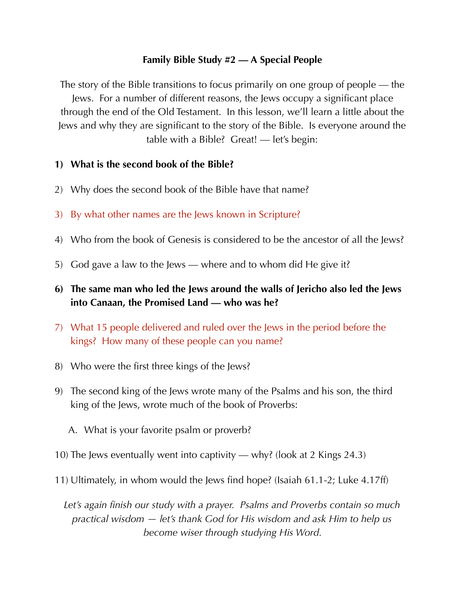# **Family Bible Study #2 — A Special People**

The story of the Bible transitions to focus primarily on one group of people — the Jews. For a number of different reasons, the Jews occupy a significant place through the end of the Old Testament. In this lesson, we'll learn a little about the Jews and why they are significant to the story of the Bible. Is everyone around the table with a Bible? Great! — let's begin:

## **1) What is the second book of the Bible?**

- 2) Why does the second book of the Bible have that name?
- 3) By what other names are the Jews known in Scripture?
- 4) Who from the book of Genesis is considered to be the ancestor of all the Jews?
- 5) God gave a law to the Jews where and to whom did He give it?
- **6) The same man who led the Jews around the walls of Jericho also led the Jews into Canaan, the Promised Land — who was he?**
- 7) What 15 people delivered and ruled over the Jews in the period before the kings? How many of these people can you name?
- 8) Who were the first three kings of the Jews?
- 9) The second king of the Jews wrote many of the Psalms and his son, the third king of the Jews, wrote much of the book of Proverbs:
	- A. What is your favorite psalm or proverb?
- 10) The Jews eventually went into captivity why? (look at 2 Kings 24.3)
- 11) Ultimately, in whom would the Jews find hope? (Isaiah 61.1-2; Luke 4.17ff)

*Let's again finish our study with a prayer. Psalms and Proverbs contain so much practical wisdom — let's thank God for His wisdom and ask Him to help us become wiser through studying His Word.*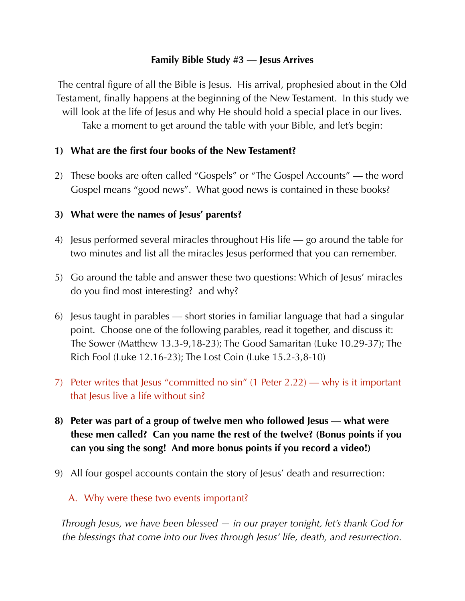## **Family Bible Study #3 — Jesus Arrives**

The central figure of all the Bible is Jesus. His arrival, prophesied about in the Old Testament, finally happens at the beginning of the New Testament. In this study we will look at the life of Jesus and why He should hold a special place in our lives. Take a moment to get around the table with your Bible, and let's begin:

# **1) What are the first four books of the New Testament?**

2) These books are often called "Gospels" or "The Gospel Accounts" — the word Gospel means "good news". What good news is contained in these books?

## **3) What were the names of Jesus' parents?**

- 4) Jesus performed several miracles throughout His life go around the table for two minutes and list all the miracles Jesus performed that you can remember.
- 5) Go around the table and answer these two questions: Which of Jesus' miracles do you find most interesting? and why?
- 6) Jesus taught in parables short stories in familiar language that had a singular point. Choose one of the following parables, read it together, and discuss it: The Sower (Matthew 13.3-9,18-23); The Good Samaritan (Luke 10.29-37); The Rich Fool (Luke 12.16-23); The Lost Coin (Luke 15.2-3,8-10)
- 7) Peter writes that Jesus "committed no sin" (1 Peter 2.22) why is it important that Jesus live a life without sin?
- **8) Peter was part of a group of twelve men who followed Jesus what were these men called? Can you name the rest of the twelve? (Bonus points if you can you sing the song! And more bonus points if you record a video!)**
- 9) All four gospel accounts contain the story of Jesus' death and resurrection:

### A. Why were these two events important?

*Through Jesus, we have been blessed — in our prayer tonight, let's thank God for the blessings that come into our lives through Jesus' life, death, and resurrection.*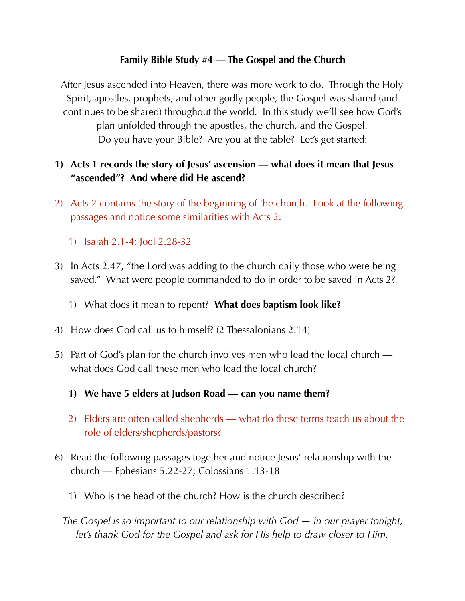# **Family Bible Study #4 — The Gospel and the Church**

After Jesus ascended into Heaven, there was more work to do. Through the Holy Spirit, apostles, prophets, and other godly people, the Gospel was shared (and continues to be shared) throughout the world. In this study we'll see how God's plan unfolded through the apostles, the church, and the Gospel. Do you have your Bible? Are you at the table? Let's get started:

# **1) Acts 1 records the story of Jesus' ascension — what does it mean that Jesus "ascended"? And where did He ascend?**

- 2) Acts 2 contains the story of the beginning of the church. Look at the following passages and notice some similarities with Acts 2:
	- 1) Isaiah 2.1-4; Joel 2.28-32
- 3) In Acts 2.47, "the Lord was adding to the church daily those who were being saved." What were people commanded to do in order to be saved in Acts 2?
	- 1) What does it mean to repent? **What does baptism look like?**
- 4) How does God call us to himself? (2 Thessalonians 2.14)
- 5) Part of God's plan for the church involves men who lead the local church what does God call these men who lead the local church?
	- **1) We have 5 elders at Judson Road can you name them?**
	- 2) Elders are often called shepherds what do these terms teach us about the role of elders/shepherds/pastors?
- 6) Read the following passages together and notice Jesus' relationship with the church — Ephesians 5.22-27; Colossians 1.13-18
	- 1) Who is the head of the church? How is the church described?
	- *The Gospel is so important to our relationship with God in our prayer tonight, let's thank God for the Gospel and ask for His help to draw closer to Him.*